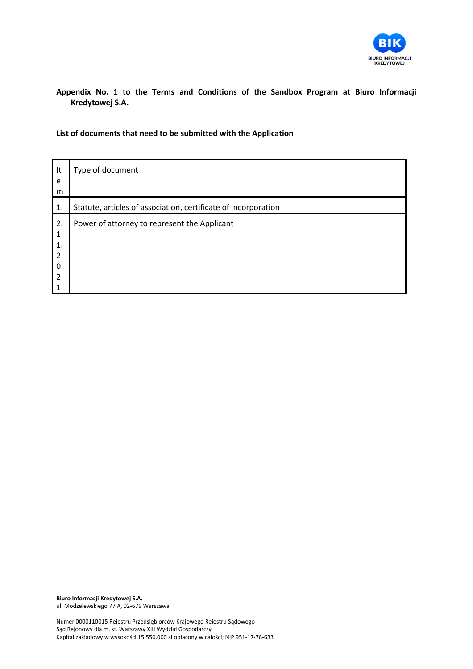

# **Appendix No. 1 to the Terms and Conditions of the Sandbox Program at Biuro Informacji Kredytowej S.A.**

#### **List of documents that need to be submitted with the Application**

| It | Type of document                                               |
|----|----------------------------------------------------------------|
| e  |                                                                |
| m  |                                                                |
| 1. | Statute, articles of association, certificate of incorporation |
| 2. | Power of attorney to represent the Applicant                   |
|    |                                                                |
| 1. |                                                                |
| 2  |                                                                |
| 0  |                                                                |
| 2  |                                                                |
|    |                                                                |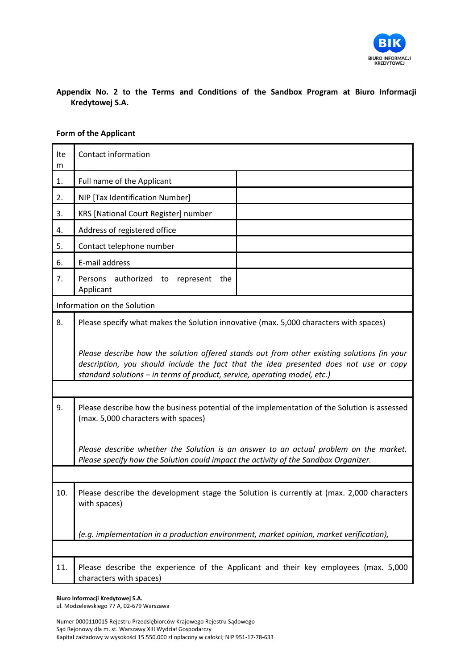

**Appendix No. 2 to the Terms and Conditions of the Sandbox Program at Biuro Informacji Kredytowej S.A.**

### **Form of the Applicant**

| Ite<br>m                    | <b>Contact information</b>                                                                                                                                                                                                                                       |                                                                                     |  |  |  |
|-----------------------------|------------------------------------------------------------------------------------------------------------------------------------------------------------------------------------------------------------------------------------------------------------------|-------------------------------------------------------------------------------------|--|--|--|
| 1.                          | Full name of the Applicant                                                                                                                                                                                                                                       |                                                                                     |  |  |  |
| 2.                          | NIP [Tax Identification Number]                                                                                                                                                                                                                                  |                                                                                     |  |  |  |
| 3.                          | KRS [National Court Register] number                                                                                                                                                                                                                             |                                                                                     |  |  |  |
| 4.                          | Address of registered office                                                                                                                                                                                                                                     |                                                                                     |  |  |  |
| 5.                          | Contact telephone number                                                                                                                                                                                                                                         |                                                                                     |  |  |  |
| 6.                          | E-mail address                                                                                                                                                                                                                                                   |                                                                                     |  |  |  |
| 7.                          | Persons authorized<br>to<br>represent<br>the<br>Applicant                                                                                                                                                                                                        |                                                                                     |  |  |  |
| Information on the Solution |                                                                                                                                                                                                                                                                  |                                                                                     |  |  |  |
| 8.                          | Please specify what makes the Solution innovative (max. 5,000 characters with spaces)                                                                                                                                                                            |                                                                                     |  |  |  |
|                             | Please describe how the solution offered stands out from other existing solutions (in your<br>description, you should include the fact that the idea presented does not use or copy<br>standard solutions - in terms of product, service, operating model, etc.) |                                                                                     |  |  |  |
|                             |                                                                                                                                                                                                                                                                  |                                                                                     |  |  |  |
| 9.                          | Please describe how the business potential of the implementation of the Solution is assessed<br>(max. 5,000 characters with spaces)                                                                                                                              |                                                                                     |  |  |  |
|                             | Please describe whether the Solution is an answer to an actual problem on the market.<br>Please specify how the Solution could impact the activity of the Sandbox Organizer.                                                                                     |                                                                                     |  |  |  |
|                             |                                                                                                                                                                                                                                                                  |                                                                                     |  |  |  |
| 10.                         | Please describe the development stage the Solution is currently at (max. 2,000 characters<br>with spaces)                                                                                                                                                        |                                                                                     |  |  |  |
|                             | (e.g. implementation in a production environment, market opinion, market verification),                                                                                                                                                                          |                                                                                     |  |  |  |
|                             |                                                                                                                                                                                                                                                                  |                                                                                     |  |  |  |
| 11.                         | characters with spaces)                                                                                                                                                                                                                                          | Please describe the experience of the Applicant and their key employees (max. 5,000 |  |  |  |

**Biuro Informacji Kredytowej S.A.** ul. Modzelewskiego 77 A, 02-679 Warszawa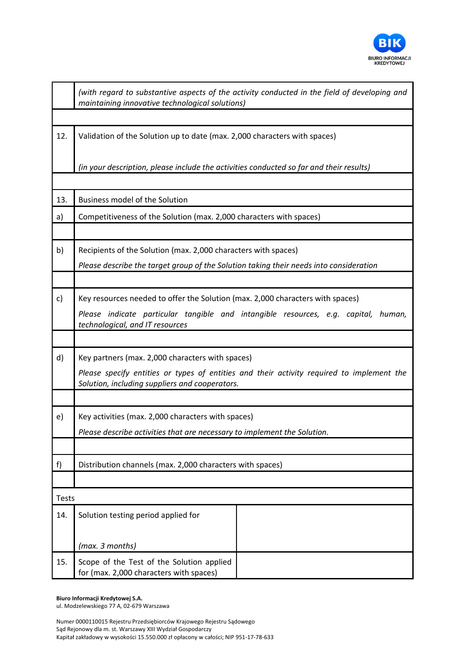

|              | (with regard to substantive aspects of the activity conducted in the field of developing and<br>maintaining innovative technological solutions)                                                            |  |  |  |  |  |
|--------------|------------------------------------------------------------------------------------------------------------------------------------------------------------------------------------------------------------|--|--|--|--|--|
|              |                                                                                                                                                                                                            |  |  |  |  |  |
| 12.          | Validation of the Solution up to date (max. 2,000 characters with spaces)                                                                                                                                  |  |  |  |  |  |
|              | (in your description, please include the activities conducted so far and their results)                                                                                                                    |  |  |  |  |  |
| 13.          | Business model of the Solution                                                                                                                                                                             |  |  |  |  |  |
| a)           | Competitiveness of the Solution (max. 2,000 characters with spaces)                                                                                                                                        |  |  |  |  |  |
| b)           | Recipients of the Solution (max. 2,000 characters with spaces)<br>Please describe the target group of the Solution taking their needs into consideration                                                   |  |  |  |  |  |
| c)           | Key resources needed to offer the Solution (max. 2,000 characters with spaces)<br>Please indicate particular tangible and intangible resources, e.g. capital,<br>human,<br>technological, and IT resources |  |  |  |  |  |
|              |                                                                                                                                                                                                            |  |  |  |  |  |
| d)           | Key partners (max. 2,000 characters with spaces)<br>Please specify entities or types of entities and their activity required to implement the<br>Solution, including suppliers and cooperators.            |  |  |  |  |  |
|              |                                                                                                                                                                                                            |  |  |  |  |  |
| e)           | Key activities (max. 2,000 characters with spaces)<br>Please describe activities that are necessary to implement the Solution.                                                                             |  |  |  |  |  |
| f)           | Distribution channels (max. 2,000 characters with spaces)                                                                                                                                                  |  |  |  |  |  |
|              |                                                                                                                                                                                                            |  |  |  |  |  |
| <b>Tests</b> |                                                                                                                                                                                                            |  |  |  |  |  |
| 14.          | Solution testing period applied for                                                                                                                                                                        |  |  |  |  |  |
|              | (max. 3 months)                                                                                                                                                                                            |  |  |  |  |  |
| 15.          | Scope of the Test of the Solution applied<br>for (max. 2,000 characters with spaces)                                                                                                                       |  |  |  |  |  |

**Biuro Informacji Kredytowej S.A.** ul. Modzelewskiego 77 A, 02-679 Warszawa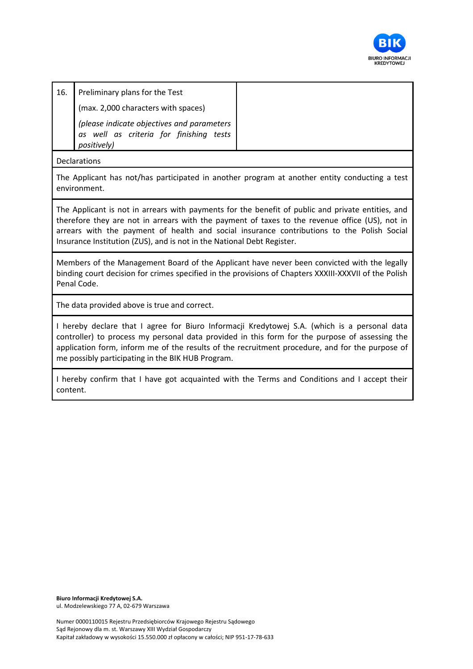

16. Preliminary plans for the Test

(max. 2,000 characters with spaces)

*(please indicate objectives and parameters as well as criteria for finishing tests positively)*

Declarations

The Applicant has not/has participated in another program at another entity conducting a test environment.

The Applicant is not in arrears with payments for the benefit of public and private entities, and therefore they are not in arrears with the payment of taxes to the revenue office (US), not in arrears with the payment of health and social insurance contributions to the Polish Social Insurance Institution (ZUS), and is not in the National Debt Register.

Members of the Management Board of the Applicant have never been convicted with the legally binding court decision for crimes specified in the provisions of Chapters XXXIII-XXXVII of the Polish Penal Code.

The data provided above is true and correct.

I hereby declare that I agree for Biuro Informacji Kredytowej S.A. (which is a personal data controller) to process my personal data provided in this form for the purpose of assessing the application form, inform me of the results of the recruitment procedure, and for the purpose of me possibly participating in the BIK HUB Program.

I hereby confirm that I have got acquainted with the Terms and Conditions and I accept their content.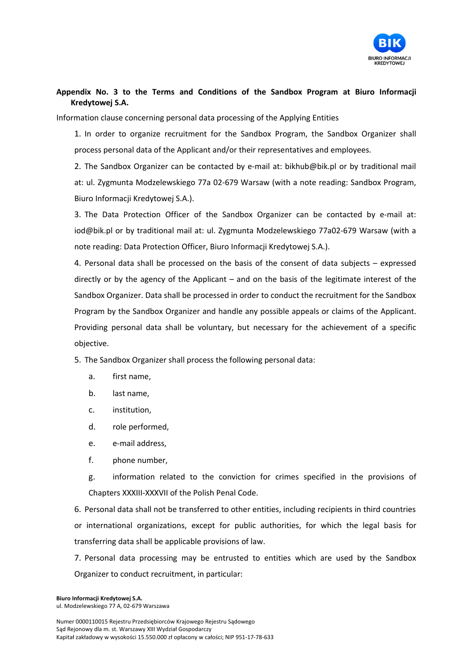

# **Appendix No. 3 to the Terms and Conditions of the Sandbox Program at Biuro Informacji Kredytowej S.A.**

Information clause concerning personal data processing of the Applying Entities

1. In order to organize recruitment for the Sandbox Program, the Sandbox Organizer shall process personal data of the Applicant and/or their representatives and employees.

2. The Sandbox Organizer can be contacted by e-mail at: bikhub@bik.pl or by traditional mail at: ul. Zygmunta Modzelewskiego 77a 02-679 Warsaw (with a note reading: Sandbox Program, Biuro Informacji Kredytowej S.A.).

3. The Data Protection Officer of the Sandbox Organizer can be contacted by e-mail at: iod@bik.pl or by traditional mail at: ul. Zygmunta Modzelewskiego 77a02-679 Warsaw (with a note reading: Data Protection Officer, Biuro Informacji Kredytowej S.A.).

4. Personal data shall be processed on the basis of the consent of data subjects – expressed directly or by the agency of the Applicant – and on the basis of the legitimate interest of the Sandbox Organizer. Data shall be processed in order to conduct the recruitment for the Sandbox Program by the Sandbox Organizer and handle any possible appeals or claims of the Applicant. Providing personal data shall be voluntary, but necessary for the achievement of a specific objective.

5. The Sandbox Organizer shall process the following personal data:

- a. first name,
- b. last name,
- c. institution,
- d. role performed,
- e. e-mail address,
- f. phone number,
- g. information related to the conviction for crimes specified in the provisions of Chapters XXXIII-XXXVII of the Polish Penal Code.

6. Personal data shall not be transferred to other entities, including recipients in third countries or international organizations, except for public authorities, for which the legal basis for transferring data shall be applicable provisions of law.

7. Personal data processing may be entrusted to entities which are used by the Sandbox Organizer to conduct recruitment, in particular: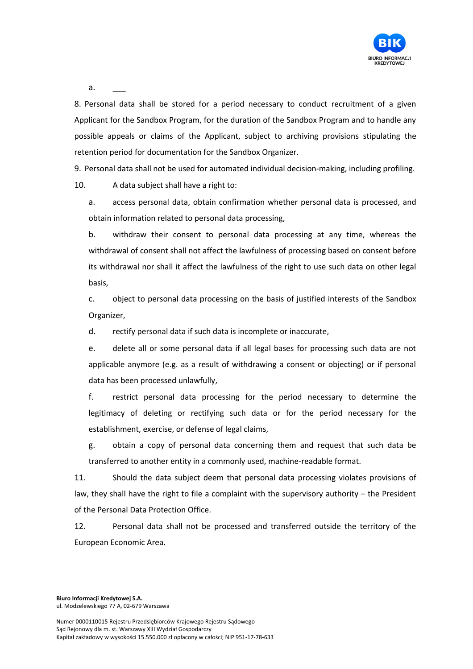

 $a<sub>r</sub>$ 

8. Personal data shall be stored for a period necessary to conduct recruitment of a given Applicant for the Sandbox Program, for the duration of the Sandbox Program and to handle any possible appeals or claims of the Applicant, subject to archiving provisions stipulating the retention period for documentation for the Sandbox Organizer.

9. Personal data shall not be used for automated individual decision-making, including profiling.

10. A data subject shall have a right to:

a. access personal data, obtain confirmation whether personal data is processed, and obtain information related to personal data processing,

b. withdraw their consent to personal data processing at any time, whereas the withdrawal of consent shall not affect the lawfulness of processing based on consent before its withdrawal nor shall it affect the lawfulness of the right to use such data on other legal basis,

c. object to personal data processing on the basis of justified interests of the Sandbox Organizer,

d. rectify personal data if such data is incomplete or inaccurate,

e. delete all or some personal data if all legal bases for processing such data are not applicable anymore (e.g. as a result of withdrawing a consent or objecting) or if personal data has been processed unlawfully,

f. restrict personal data processing for the period necessary to determine the legitimacy of deleting or rectifying such data or for the period necessary for the establishment, exercise, or defense of legal claims,

g. obtain a copy of personal data concerning them and request that such data be transferred to another entity in a commonly used, machine-readable format.

11. Should the data subject deem that personal data processing violates provisions of law, they shall have the right to file a complaint with the supervisory authority – the President of the Personal Data Protection Office.

12. Personal data shall not be processed and transferred outside the territory of the European Economic Area.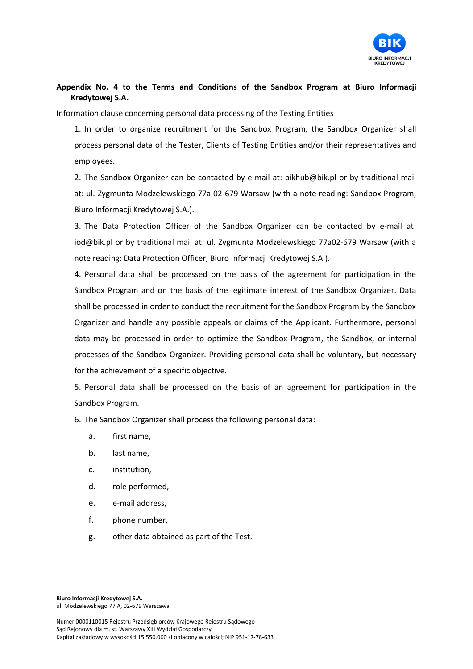

# **Appendix No. 4 to the Terms and Conditions of the Sandbox Program at Biuro Informacji Kredytowej S.A.**

Information clause concerning personal data processing of the Testing Entities

1. In order to organize recruitment for the Sandbox Program, the Sandbox Organizer shall process personal data of the Tester, Clients of Testing Entities and/or their representatives and employees.

2. The Sandbox Organizer can be contacted by e-mail at: bikhub@bik.pl or by traditional mail at: ul. Zygmunta Modzelewskiego 77a 02-679 Warsaw (with a note reading: Sandbox Program, Biuro Informacji Kredytowej S.A.).

3. The Data Protection Officer of the Sandbox Organizer can be contacted by e-mail at: iod@bik.pl or by traditional mail at: ul. Zygmunta Modzelewskiego 77a02-679 Warsaw (with a note reading: Data Protection Officer, Biuro Informacji Kredytowej S.A.).

4. Personal data shall be processed on the basis of the agreement for participation in the Sandbox Program and on the basis of the legitimate interest of the Sandbox Organizer. Data shall be processed in order to conduct the recruitment for the Sandbox Program by the Sandbox Organizer and handle any possible appeals or claims of the Applicant. Furthermore, personal data may be processed in order to optimize the Sandbox Program, the Sandbox, or internal processes of the Sandbox Organizer. Providing personal data shall be voluntary, but necessary for the achievement of a specific objective.

5. Personal data shall be processed on the basis of an agreement for participation in the Sandbox Program.

6. The Sandbox Organizer shall process the following personal data:

- a. first name,
- b. last name,
- c. institution,
- d. role performed,
- e. e-mail address,
- f. phone number,
- g. other data obtained as part of the Test.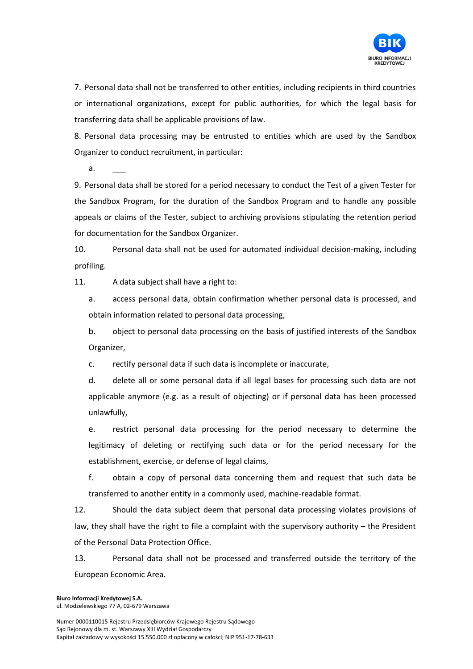

7. Personal data shall not be transferred to other entities, including recipients in third countries or international organizations, except for public authorities, for which the legal basis for transferring data shall be applicable provisions of law.

8. Personal data processing may be entrusted to entities which are used by the Sandbox Organizer to conduct recruitment, in particular:

 $a.$ 

9. Personal data shall be stored for a period necessary to conduct the Test of a given Tester for the Sandbox Program, for the duration of the Sandbox Program and to handle any possible appeals or claims of the Tester, subject to archiving provisions stipulating the retention period for documentation for the Sandbox Organizer.

10. Personal data shall not be used for automated individual decision-making, including profiling.

11. A data subject shall have a right to:

a. access personal data, obtain confirmation whether personal data is processed, and obtain information related to personal data processing,

b. object to personal data processing on the basis of justified interests of the Sandbox Organizer,

c. rectify personal data if such data is incomplete or inaccurate,

d. delete all or some personal data if all legal bases for processing such data are not applicable anymore (e.g. as a result of objecting) or if personal data has been processed unlawfully,

e. restrict personal data processing for the period necessary to determine the legitimacy of deleting or rectifying such data or for the period necessary for the establishment, exercise, or defense of legal claims,

f. obtain a copy of personal data concerning them and request that such data be transferred to another entity in a commonly used, machine-readable format.

12. Should the data subject deem that personal data processing violates provisions of law, they shall have the right to file a complaint with the supervisory authority – the President of the Personal Data Protection Office.

13. Personal data shall not be processed and transferred outside the territory of the European Economic Area.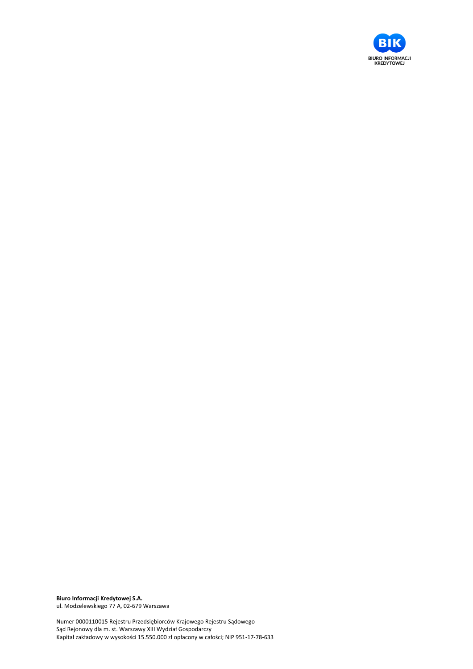

**Biuro Informacji Kredytowej S.A.** ul. Modzelewskiego 77 A, 02-679 Warszawa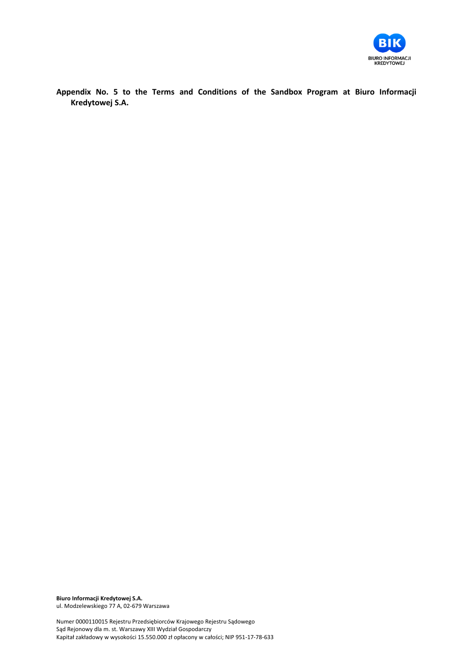

**Appendix No. 5 to the Terms and Conditions of the Sandbox Program at Biuro Informacji Kredytowej S.A.**

**Biuro Informacji Kredytowej S.A.** ul. Modzelewskiego 77 A, 02-679 Warszawa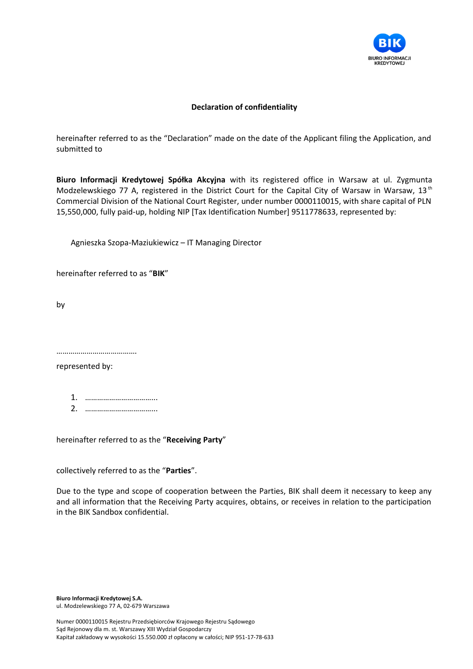

## **Declaration of confidentiality**

hereinafter referred to as the "Declaration" made on the date of the Applicant filing the Application, and submitted to

**Biuro Informacji Kredytowej Spółka Akcyjna** with its registered office in Warsaw at ul. Zygmunta Modzelewskiego 77 A, registered in the District Court for the Capital City of Warsaw in Warsaw, 13<sup>th</sup> Commercial Division of the National Court Register, under number 0000110015, with share capital of PLN 15,550,000, fully paid-up, holding NIP [Tax Identification Number] 9511778633, represented by:

Agnieszka Szopa-Maziukiewicz – IT Managing Director

hereinafter referred to as "**BIK**"

by

………………………………….

represented by:

1. ……………………………... 2. ……………………………...

hereinafter referred to as the "**Receiving Party**"

collectively referred to as the "**Parties**".

Due to the type and scope of cooperation between the Parties, BIK shall deem it necessary to keep any and all information that the Receiving Party acquires, obtains, or receives in relation to the participation in the BIK Sandbox confidential.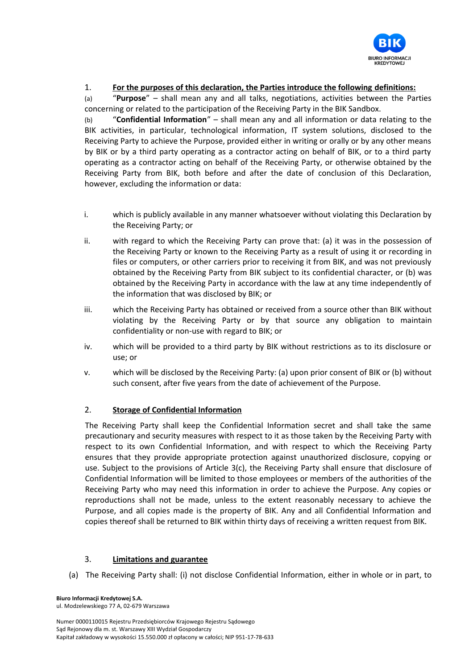

## 1. **For the purposes of this declaration, the Parties introduce the following definitions:**

(a) "**Purpose**" – shall mean any and all talks, negotiations, activities between the Parties concerning or related to the participation of the Receiving Party in the BIK Sandbox.

(b) "**Confidential Information**" – shall mean any and all information or data relating to the BIK activities, in particular, technological information, IT system solutions, disclosed to the Receiving Party to achieve the Purpose, provided either in writing or orally or by any other means by BIK or by a third party operating as a contractor acting on behalf of BIK, or to a third party operating as a contractor acting on behalf of the Receiving Party, or otherwise obtained by the Receiving Party from BIK, both before and after the date of conclusion of this Declaration, however, excluding the information or data:

- i. which is publicly available in any manner whatsoever without violating this Declaration by the Receiving Party; or
- ii. with regard to which the Receiving Party can prove that: (a) it was in the possession of the Receiving Party or known to the Receiving Party as a result of using it or recording in files or computers, or other carriers prior to receiving it from BIK, and was not previously obtained by the Receiving Party from BIK subject to its confidential character, or (b) was obtained by the Receiving Party in accordance with the law at any time independently of the information that was disclosed by BIK; or
- iii. which the Receiving Party has obtained or received from a source other than BIK without violating by the Receiving Party or by that source any obligation to maintain confidentiality or non-use with regard to BIK; or
- iv. which will be provided to a third party by BIK without restrictions as to its disclosure or use; or
- v. which will be disclosed by the Receiving Party: (a) upon prior consent of BIK or (b) without such consent, after five years from the date of achievement of the Purpose.

# 2. **Storage of Confidential Information**

The Receiving Party shall keep the Confidential Information secret and shall take the same precautionary and security measures with respect to it as those taken by the Receiving Party with respect to its own Confidential Information, and with respect to which the Receiving Party ensures that they provide appropriate protection against unauthorized disclosure, copying or use. Subject to the provisions of Article 3(c), the Receiving Party shall ensure that disclosure of Confidential Information will be limited to those employees or members of the authorities of the Receiving Party who may need this information in order to achieve the Purpose. Any copies or reproductions shall not be made, unless to the extent reasonably necessary to achieve the Purpose, and all copies made is the property of BIK. Any and all Confidential Information and copies thereof shall be returned to BIK within thirty days of receiving a written request from BIK.

### 3. **Limitations and guarantee**

(a) The Receiving Party shall: (i) not disclose Confidential Information, either in whole or in part, to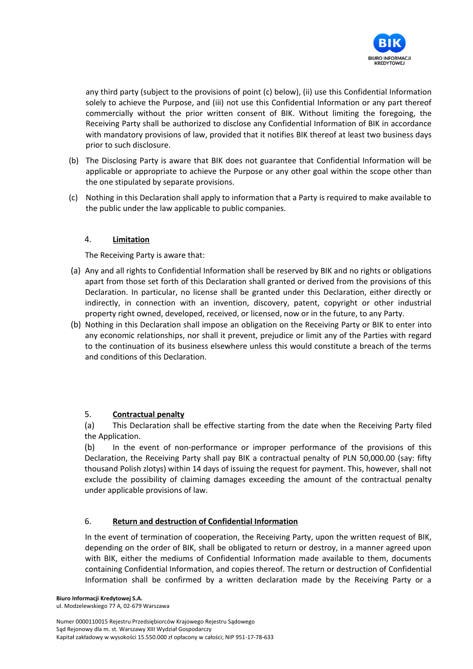

any third party (subject to the provisions of point (c) below), (ii) use this Confidential Information solely to achieve the Purpose, and (iii) not use this Confidential Information or any part thereof commercially without the prior written consent of BIK. Without limiting the foregoing, the Receiving Party shall be authorized to disclose any Confidential Information of BIK in accordance with mandatory provisions of law, provided that it notifies BIK thereof at least two business days prior to such disclosure.

- (b) The Disclosing Party is aware that BIK does not guarantee that Confidential Information will be applicable or appropriate to achieve the Purpose or any other goal within the scope other than the one stipulated by separate provisions.
- (c) Nothing in this Declaration shall apply to information that a Party is required to make available to the public under the law applicable to public companies.

## 4. **Limitation**

The Receiving Party is aware that:

- (a) Any and all rights to Confidential Information shall be reserved by BIK and no rights or obligations apart from those set forth of this Declaration shall granted or derived from the provisions of this Declaration. In particular, no license shall be granted under this Declaration, either directly or indirectly, in connection with an invention, discovery, patent, copyright or other industrial property right owned, developed, received, or licensed, now or in the future, to any Party.
- (b) Nothing in this Declaration shall impose an obligation on the Receiving Party or BIK to enter into any economic relationships, nor shall it prevent, prejudice or limit any of the Parties with regard to the continuation of its business elsewhere unless this would constitute a breach of the terms and conditions of this Declaration.

# 5. **Contractual penalty**

(a) This Declaration shall be effective starting from the date when the Receiving Party filed the Application.

(b) In the event of non-performance or improper performance of the provisions of this Declaration, the Receiving Party shall pay BIK a contractual penalty of PLN 50,000.00 (say: fifty thousand Polish zlotys) within 14 days of issuing the request for payment. This, however, shall not exclude the possibility of claiming damages exceeding the amount of the contractual penalty under applicable provisions of law.

# 6. **Return and destruction of Confidential Information**

In the event of termination of cooperation, the Receiving Party, upon the written request of BIK, depending on the order of BIK, shall be obligated to return or destroy, in a manner agreed upon with BIK, either the mediums of Confidential Information made available to them, documents containing Confidential Information, and copies thereof. The return or destruction of Confidential Information shall be confirmed by a written declaration made by the Receiving Party or a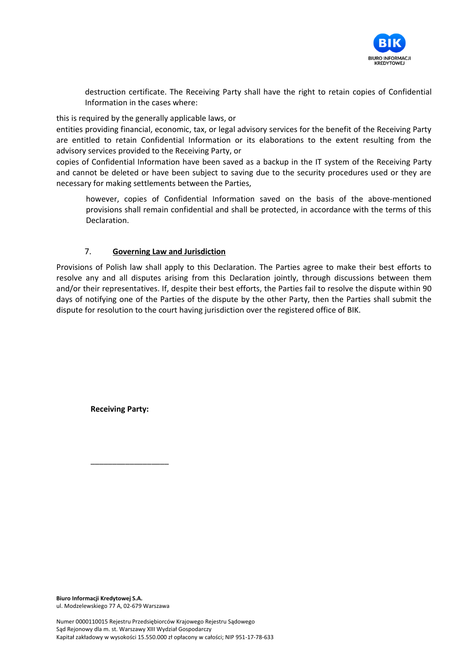

destruction certificate. The Receiving Party shall have the right to retain copies of Confidential Information in the cases where:

this is required by the generally applicable laws, or

entities providing financial, economic, tax, or legal advisory services for the benefit of the Receiving Party are entitled to retain Confidential Information or its elaborations to the extent resulting from the advisory services provided to the Receiving Party, or

copies of Confidential Information have been saved as a backup in the IT system of the Receiving Party and cannot be deleted or have been subject to saving due to the security procedures used or they are necessary for making settlements between the Parties,

however, copies of Confidential Information saved on the basis of the above-mentioned provisions shall remain confidential and shall be protected, in accordance with the terms of this Declaration.

## 7. **Governing Law and Jurisdiction**

Provisions of Polish law shall apply to this Declaration. The Parties agree to make their best efforts to resolve any and all disputes arising from this Declaration jointly, through discussions between them and/or their representatives. If, despite their best efforts, the Parties fail to resolve the dispute within 90 days of notifying one of the Parties of the dispute by the other Party, then the Parties shall submit the dispute for resolution to the court having jurisdiction over the registered office of BIK.

**Receiving Party:**

\_\_\_\_\_\_\_\_\_\_\_\_\_\_\_\_\_\_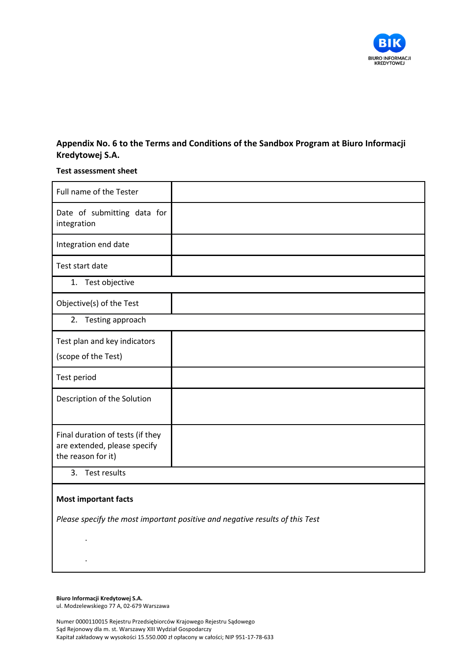

# **Appendix No. 6 to the Terms and Conditions of the Sandbox Program at Biuro Informacji Kredytowej S.A.**

## **Test assessment sheet**

| Full name of the Tester                                                                |  |  |  |  |
|----------------------------------------------------------------------------------------|--|--|--|--|
| Date of submitting data for<br>integration                                             |  |  |  |  |
| Integration end date                                                                   |  |  |  |  |
| Test start date                                                                        |  |  |  |  |
| 1. Test objective                                                                      |  |  |  |  |
| Objective(s) of the Test                                                               |  |  |  |  |
| 2.<br>Testing approach                                                                 |  |  |  |  |
| Test plan and key indicators<br>(scope of the Test)                                    |  |  |  |  |
| Test period                                                                            |  |  |  |  |
| Description of the Solution                                                            |  |  |  |  |
| Final duration of tests (if they<br>are extended, please specify<br>the reason for it) |  |  |  |  |
| 3.<br>Test results                                                                     |  |  |  |  |

# **Most important facts**

·

·

*Please specify the most important positive and negative results of this Test*

**Biuro Informacji Kredytowej S.A.** ul. Modzelewskiego 77 A, 02-679 Warszawa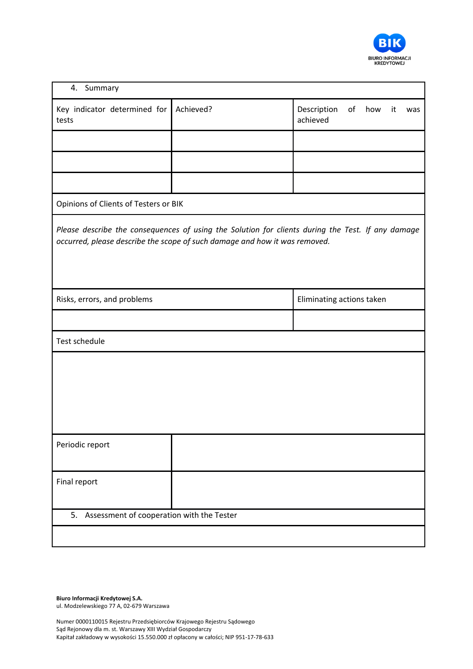

| 4.<br>Summary                                                                                                                                                                   |                           |                                                              |  |  |  |  |
|---------------------------------------------------------------------------------------------------------------------------------------------------------------------------------|---------------------------|--------------------------------------------------------------|--|--|--|--|
| Key indicator determined for<br>tests                                                                                                                                           | Achieved?                 | Description<br>$\mathsf{of}$<br>how<br>it<br>was<br>achieved |  |  |  |  |
|                                                                                                                                                                                 |                           |                                                              |  |  |  |  |
|                                                                                                                                                                                 |                           |                                                              |  |  |  |  |
|                                                                                                                                                                                 |                           |                                                              |  |  |  |  |
| Opinions of Clients of Testers or BIK                                                                                                                                           |                           |                                                              |  |  |  |  |
| Please describe the consequences of using the Solution for clients during the Test. If any damage<br>occurred, please describe the scope of such damage and how it was removed. |                           |                                                              |  |  |  |  |
| Risks, errors, and problems                                                                                                                                                     | Eliminating actions taken |                                                              |  |  |  |  |
|                                                                                                                                                                                 |                           |                                                              |  |  |  |  |
| Test schedule                                                                                                                                                                   |                           |                                                              |  |  |  |  |
|                                                                                                                                                                                 |                           |                                                              |  |  |  |  |
| Periodic report                                                                                                                                                                 |                           |                                                              |  |  |  |  |
| Final report                                                                                                                                                                    |                           |                                                              |  |  |  |  |
| 5. Assessment of cooperation with the Tester                                                                                                                                    |                           |                                                              |  |  |  |  |
|                                                                                                                                                                                 |                           |                                                              |  |  |  |  |

**Biuro Informacji Kredytowej S.A.** ul. Modzelewskiego 77 A, 02-679 Warszawa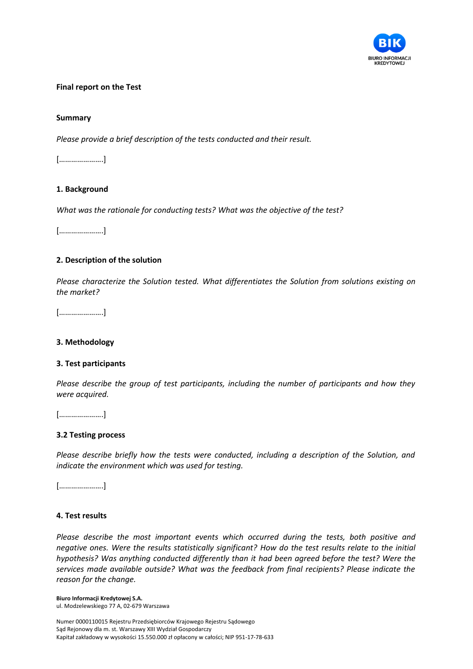

### **Final report on the Test**

### **Summary**

*Please provide a brief description of the tests conducted and their result.*

[………………….]

# **1. Background**

*What was the rationale for conducting tests? What was the objective of the test?*

[………………….]

## **2. Description of the solution**

*Please characterize the Solution tested. What differentiates the Solution from solutions existing on the market?*

[………………….]

### **3. Methodology**

### **3. Test participants**

*Please describe the group of test participants, including the number of participants and how they were acquired.*

[………………….]

### **3.2 Testing process**

*Please describe briefly how the tests were conducted, including a description of the Solution, and indicate the environment which was used for testing.* 

[………………….]

### **4. Test results**

*Please describe the most important events which occurred during the tests, both positive and negative ones. Were the results statistically significant? How do the test results relate to the initial hypothesis? Was anything conducted differently than it had been agreed before the test? Were the services made available outside? What was the feedback from final recipients? Please indicate the reason for the change.*

**Biuro Informacji Kredytowej S.A.** ul. Modzelewskiego 77 A, 02-679 Warszawa